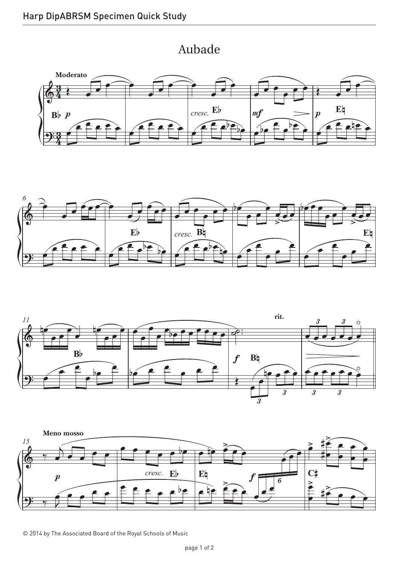## Aubade Aubade









© 2014 by The Associated Board of the Royal Schools of Music